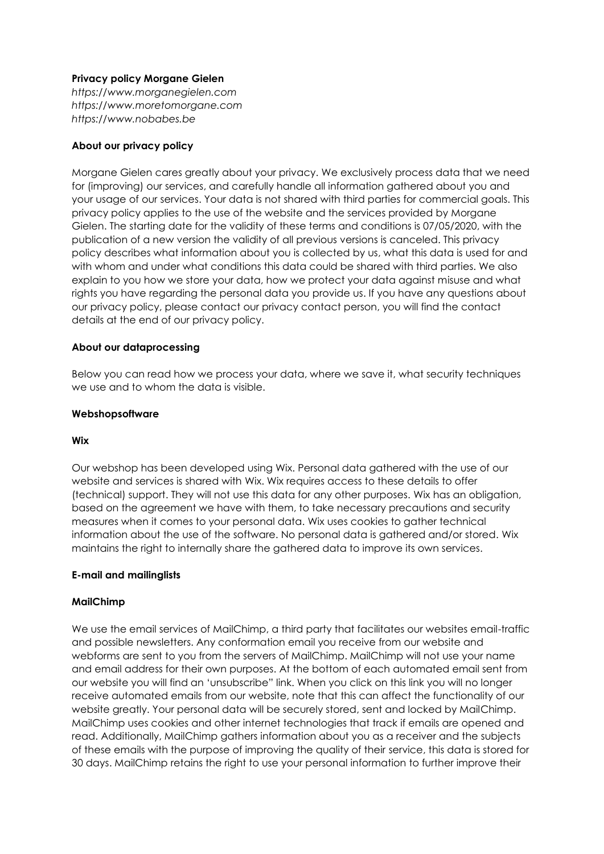## **Privacy policy Morgane Gielen**

*https://www.morganegielen.com [https://www.moretomorgane.com](https://www.moretomorgane.com/) https://www.nobabes.be*

### **About our privacy policy**

Morgane Gielen cares greatly about your privacy. We exclusively process data that we need for (improving) our services, and carefully handle all information gathered about you and your usage of our services. Your data is not shared with third parties for commercial goals. This privacy policy applies to the use of the website and the services provided by Morgane Gielen. The starting date for the validity of these terms and conditions is 07/05/2020, with the publication of a new version the validity of all previous versions is canceled. This privacy policy describes what information about you is collected by us, what this data is used for and with whom and under what conditions this data could be shared with third parties. We also explain to you how we store your data, how we protect your data against misuse and what rights you have regarding the personal data you provide us. If you have any questions about our privacy policy, please contact our privacy contact person, you will find the contact details at the end of our privacy policy.

#### **About our dataprocessing**

Below you can read how we process your data, where we save it, what security techniques we use and to whom the data is visible.

#### **Webshopsoftware**

#### **Wix**

Our webshop has been developed using Wix. Personal data gathered with the use of our website and services is shared with Wix. Wix requires access to these details to offer (technical) support. They will not use this data for any other purposes. Wix has an obligation, based on the agreement we have with them, to take necessary precautions and security measures when it comes to your personal data. Wix uses cookies to gather technical information about the use of the software. No personal data is gathered and/or stored. Wix maintains the right to internally share the gathered data to improve its own services.

#### **E-mail and mailinglists**

#### **MailChimp**

We use the email services of MailChimp, a third party that facilitates our websites email-traffic and possible newsletters. Any conformation email you receive from our website and webforms are sent to you from the servers of MailChimp. MailChimp will not use your name and email address for their own purposes. At the bottom of each automated email sent from our website you will find an 'unsubscribe" link. When you click on this link you will no longer receive automated emails from our website, note that this can affect the functionality of our website greatly. Your personal data will be securely stored, sent and locked by MailChimp. MailChimp uses cookies and other internet technologies that track if emails are opened and read. Additionally, MailChimp gathers information about you as a receiver and the subjects of these emails with the purpose of improving the quality of their service, this data is stored for 30 days. MailChimp retains the right to use your personal information to further improve their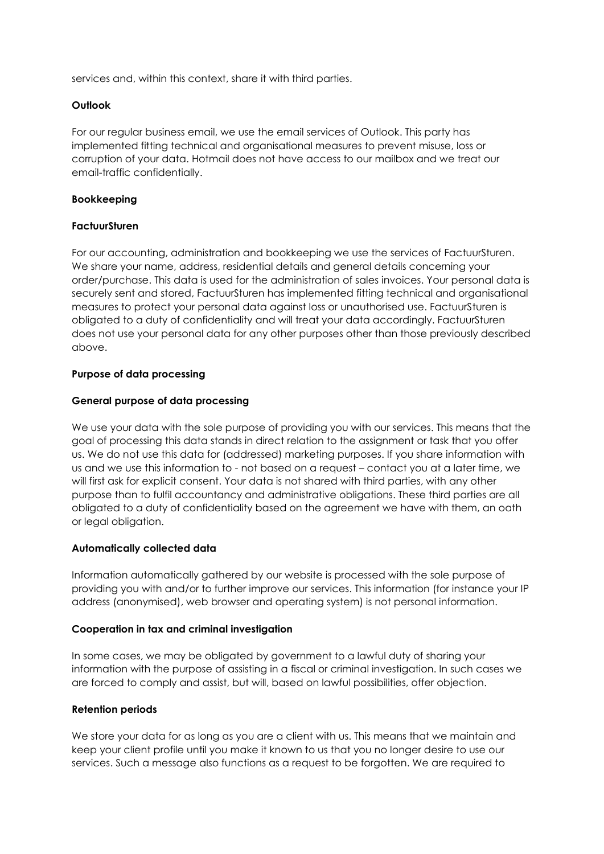services and, within this context, share it with third parties.

## **Outlook**

For our regular business email, we use the email services of Outlook. This party has implemented fitting technical and organisational measures to prevent misuse, loss or corruption of your data. Hotmail does not have access to our mailbox and we treat our email-traffic confidentially.

## **Bookkeeping**

## **FactuurSturen**

For our accounting, administration and bookkeeping we use the services of FactuurSturen. We share your name, address, residential details and general details concerning your order/purchase. This data is used for the administration of sales invoices. Your personal data is securely sent and stored, FactuurSturen has implemented fitting technical and organisational measures to protect your personal data against loss or unauthorised use. FactuurSturen is obligated to a duty of confidentiality and will treat your data accordingly. FactuurSturen does not use your personal data for any other purposes other than those previously described above.

## **Purpose of data processing**

## **General purpose of data processing**

We use your data with the sole purpose of providing you with our services. This means that the goal of processing this data stands in direct relation to the assignment or task that you offer us. We do not use this data for (addressed) marketing purposes. If you share information with us and we use this information to - not based on a request – contact you at a later time, we will first ask for explicit consent. Your data is not shared with third parties, with any other purpose than to fulfil accountancy and administrative obligations. These third parties are all obligated to a duty of confidentiality based on the agreement we have with them, an oath or legal obligation.

#### **Automatically collected data**

Information automatically gathered by our website is processed with the sole purpose of providing you with and/or to further improve our services. This information (for instance your IP address (anonymised), web browser and operating system) is not personal information.

#### **Cooperation in tax and criminal investigation**

In some cases, we may be obligated by government to a lawful duty of sharing your information with the purpose of assisting in a fiscal or criminal investigation. In such cases we are forced to comply and assist, but will, based on lawful possibilities, offer objection.

#### **Retention periods**

We store your data for as long as you are a client with us. This means that we maintain and keep your client profile until you make it known to us that you no longer desire to use our services. Such a message also functions as a request to be forgotten. We are required to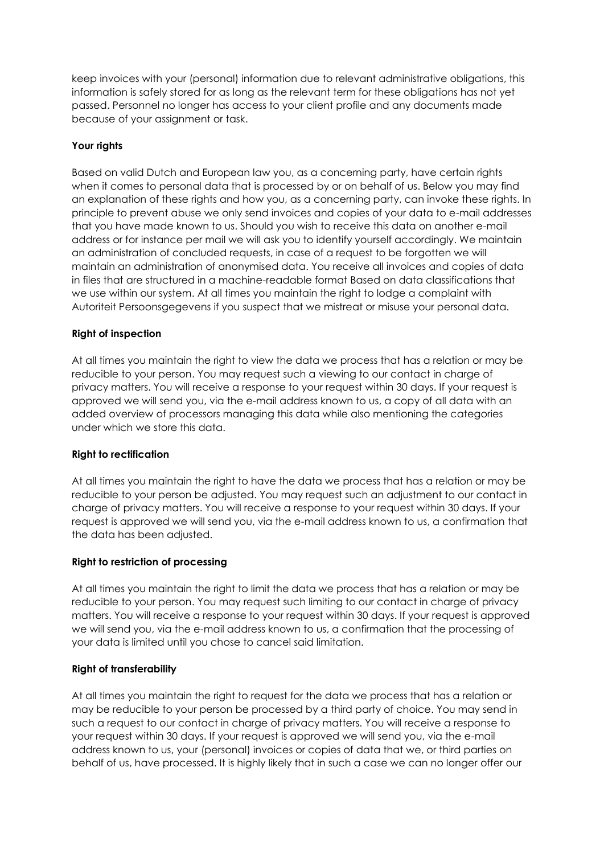keep invoices with your (personal) information due to relevant administrative obligations, this information is safely stored for as long as the relevant term for these obligations has not yet passed. Personnel no longer has access to your client profile and any documents made because of your assignment or task.

# **Your rights**

Based on valid Dutch and European law you, as a concerning party, have certain rights when it comes to personal data that is processed by or on behalf of us. Below you may find an explanation of these rights and how you, as a concerning party, can invoke these rights. In principle to prevent abuse we only send invoices and copies of your data to e-mail addresses that you have made known to us. Should you wish to receive this data on another e-mail address or for instance per mail we will ask you to identify yourself accordingly. We maintain an administration of concluded requests, in case of a request to be forgotten we will maintain an administration of anonymised data. You receive all invoices and copies of data in files that are structured in a machine-readable format Based on data classifications that we use within our system. At all times you maintain the right to lodge a complaint with Autoriteit Persoonsgegevens if you suspect that we mistreat or misuse your personal data.

# **Right of inspection**

At all times you maintain the right to view the data we process that has a relation or may be reducible to your person. You may request such a viewing to our contact in charge of privacy matters. You will receive a response to your request within 30 days. If your request is approved we will send you, via the e-mail address known to us, a copy of all data with an added overview of processors managing this data while also mentioning the categories under which we store this data.

#### **Right to rectification**

At all times you maintain the right to have the data we process that has a relation or may be reducible to your person be adjusted. You may request such an adjustment to our contact in charge of privacy matters. You will receive a response to your request within 30 days. If your request is approved we will send you, via the e-mail address known to us, a confirmation that the data has been adjusted.

#### **Right to restriction of processing**

At all times you maintain the right to limit the data we process that has a relation or may be reducible to your person. You may request such limiting to our contact in charge of privacy matters. You will receive a response to your request within 30 days. If your request is approved we will send you, via the e-mail address known to us, a confirmation that the processing of your data is limited until you chose to cancel said limitation.

#### **Right of transferability**

At all times you maintain the right to request for the data we process that has a relation or may be reducible to your person be processed by a third party of choice. You may send in such a request to our contact in charge of privacy matters. You will receive a response to your request within 30 days. If your request is approved we will send you, via the e-mail address known to us, your (personal) invoices or copies of data that we, or third parties on behalf of us, have processed. It is highly likely that in such a case we can no longer offer our